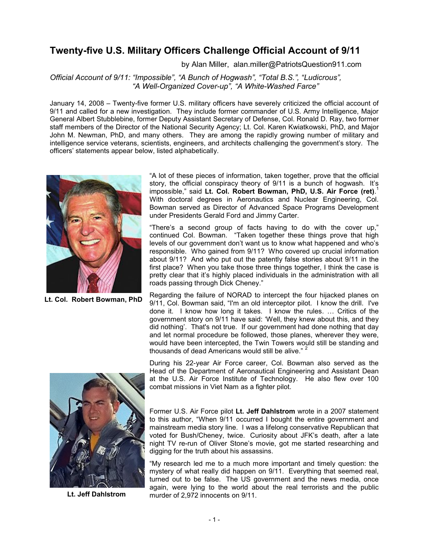## **Twenty-five U.S. Military Officers Challenge Official Account of 9/11**

by Alan Miller, alan.miller@PatriotsQuestion911.com

*Official Account of 9/11: "Impossible", "A Bunch of Hogwash", "Total B.S.", "Ludicrous", "A Well-Organized Cover-up", "A White-Washed Farce"*

January 14, 2008 – Twenty-five former U.S. military officers have severely criticized the official account of 9/11 and called for a new investigation. They include former commander of U.S. Army Intelligence, Major General Albert Stubblebine, former Deputy Assistant Secretary of Defense, Col. Ronald D. Ray, two former staff members of the Director of the National Security Agency; Lt. Col. Karen Kwiatkowski, PhD, and Major John M. Newman, PhD, and many others. They are among the rapidly growing number of military and intelligence service veterans, scientists, engineers, and architects challenging the government's story. The officers' statements appear below, listed alphabetically.



**Lt. Col. Robert Bowman, PhD**

"A lot of these pieces of information, taken together, prove that the official story, the official conspiracy theory of 9/11 is a bunch of hogwash. It's impossible," said **Lt. Col. Robert Bowman, PhD, U.S. Air Force (ret)**. 1 With doctoral degrees in Aeronautics and Nuclear Engineering, Col. Bowman served as Director of Advanced Space Programs Development under Presidents Gerald Ford and Jimmy Carter.

"There's a second group of facts having to do with the cover up," continued Col. Bowman. "Taken together these things prove that high levels of our government don't want us to know what happened and who's responsible. Who gained from 9/11? Who covered up crucial information about 9/11? And who put out the patently false stories about 9/11 in the first place? When you take those three things together, I think the case is pretty clear that it's highly placed individuals in the administration with all roads passing through Dick Cheney."

Regarding the failure of NORAD to intercept the four hijacked planes on 9/11, Col. Bowman said, "I'm an old interceptor pilot. I know the drill. I've done it. I know how long it takes. I know the rules. … Critics of the government story on 9/11 have said: 'Well, they knew about this, and they did nothing'. That's not true. If our government had done nothing that day and let normal procedure be followed, those planes, wherever they were, would have been intercepted, the Twin Towers would still be standing and thousands of dead Americans would still be alive."



**Lt. Jeff Dahlstrom**

During his 22-year Air Force career, Col. Bowman also served as the Head of the Department of Aeronautical Engineering and Assistant Dean at the U.S. Air Force Institute of Technology. He also flew over 100 combat missions in Viet Nam as a fighter pilot.

Former U.S. Air Force pilot **Lt. Jeff Dahlstrom** wrote in a 2007 statement to this author, "When 9/11 occurred I bought the entire government and mainstream media story line. I was a lifelong conservative Republican that voted for Bush/Cheney, twice. Curiosity about JFK's death, after a late night TV re-run of Oliver Stone's movie, got me started researching and digging for the truth about his assassins.

"My research led me to a much more important and timely question: the mystery of what really did happen on 9/11. Everything that seemed real, turned out to be false. The US government and the news media, once again, were lying to the world about the real terrorists and the public murder of 2,972 innocents on 9/11.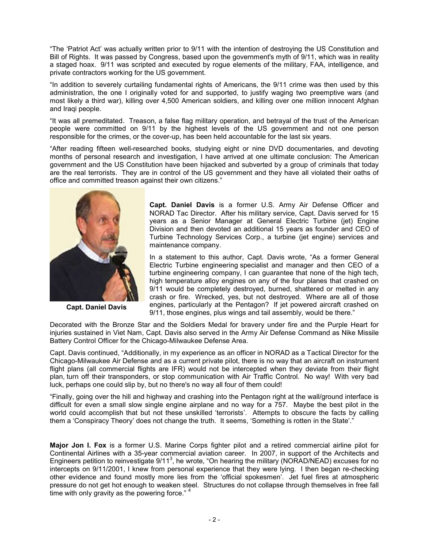"The 'Patriot Act' was actually written prior to 9/11 with the intention of destroying the US Constitution and Bill of Rights. It was passed by Congress, based upon the government's myth of 9/11, which was in reality a staged hoax. 9/11 was scripted and executed by rogue elements of the military, FAA, intelligence, and private contractors working for the US government.

"In addition to severely curtailing fundamental rights of Americans, the 9/11 crime was then used by this administration, the one I originally voted for and supported, to justify waging two preemptive wars (and most likely a third war), killing over 4,500 American soldiers, and killing over one million innocent Afghan and Iraqi people.

"It was all premeditated. Treason, a false flag military operation, and betrayal of the trust of the American people were committed on 9/11 by the highest levels of the US government and not one person responsible for the crimes, or the cover-up, has been held accountable for the last six years.

"After reading fifteen well-researched books, studying eight or nine DVD documentaries, and devoting months of personal research and investigation, I have arrived at one ultimate conclusion: The American government and the US Constitution have been hijacked and subverted by a group of criminals that today are the real terrorists. They are in control of the US government and they have all violated their oaths of office and committed treason against their own citizens."



**Capt. Daniel Davis**

**Capt. Daniel Davis** is a former U.S. Army Air Defense Officer and NORAD Tac Director. After his military service, Capt. Davis served for 15 years as a Senior Manager at General Electric Turbine (jet) Engine Division and then devoted an additional 15 years as founder and CEO of Turbine Technology Services Corp., a turbine (jet engine) services and maintenance company.

In a statement to this author, Capt. Davis wrote, "As a former General Electric Turbine engineering specialist and manager and then CEO of a turbine engineering company, I can guarantee that none of the high tech, high temperature alloy engines on any of the four planes that crashed on 9/11 would be completely destroyed, burned, shattered or melted in any crash or fire. Wrecked, yes, but not destroyed. Where are all of those engines, particularly at the Pentagon? If jet powered aircraft crashed on 9/11, those engines, plus wings and tail assembly, would be there."

Decorated with the Bronze Star and the Soldiers Medal for bravery under fire and the Purple Heart for injuries sustained in Viet Nam, Capt. Davis also served in the Army Air Defense Command as Nike Missile Battery Control Officer for the Chicago-Milwaukee Defense Area.

Capt. Davis continued, "Additionally, in my experience as an officer in NORAD as a Tactical Director for the Chicago-Milwaukee Air Defense and as a current private pilot, there is no way that an aircraft on instrument flight plans (all commercial flights are IFR) would not be intercepted when they deviate from their flight plan, turn off their transponders, or stop communication with Air Traffic Control. No way! With very bad luck, perhaps one could slip by, but no there's no way all four of them could!

"Finally, going over the hill and highway and crashing into the Pentagon right at the wall/ground interface is difficult for even a small slow single engine airplane and no way for a 757. Maybe the best pilot in the world could accomplish that but not these unskilled 'terrorists'. Attempts to obscure the facts by calling them a 'Conspiracy Theory' does not change the truth. It seems, 'Something is rotten in the State'."

**Major Jon I. Fox** is a former U.S. Marine Corps fighter pilot and a retired commercial airline pilot for Continental Airlines with a 35-year commercial aviation career. In 2007, in support of the Architects and Engineers petition to reinvestigate  $9/11^3$ , he wrote, "On hearing the military (NORAD/NEAD) excuses for no intercepts on 9/11/2001, I knew from personal experience that they were lying. I then began re-checking other evidence and found mostly more lies from the 'official spokesmen'. Jet fuel fires at atmospheric pressure do not get hot enough to weaken steel. Structures do not collapse through themselves in free fall time with only gravity as the powering force."  $4$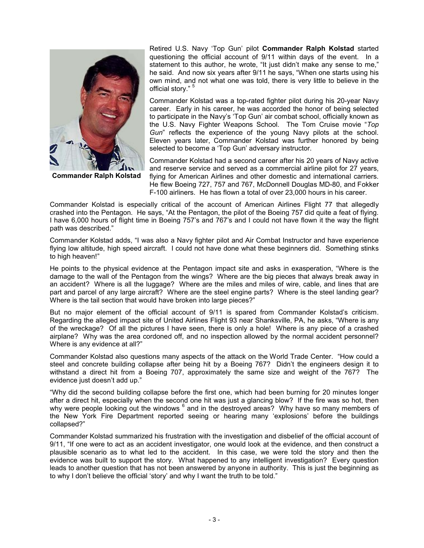

**Commander Ralph Kolstad**

Retired U.S. Navy 'Top Gun' pilot **Commander Ralph Kolstad** started questioning the official account of 9/11 within days of the event. In a statement to this author, he wrote, "It just didn't make any sense to me," he said. And now six years after 9/11 he says, "When one starts using his own mind, and not what one was told, there is very little to believe in the official story." <sup>5</sup>

Commander Kolstad was a top-rated fighter pilot during his 20-year Navy career. Early in his career, he was accorded the honor of being selected to participate in the Navy's 'Top Gun' air combat school, officially known as the U.S. Navy Fighter Weapons School. The Tom Cruise movie "*Top Gun*" reflects the experience of the young Navy pilots at the school. Eleven years later, Commander Kolstad was further honored by being selected to become a 'Top Gun' adversary instructor.

Commander Kolstad had a second career after his 20 years of Navy active and reserve service and served as a commercial airline pilot for 27 years, flying for American Airlines and other domestic and international carriers. He flew Boeing 727, 757 and 767, McDonnell Douglas MD-80, and Fokker F-100 airliners. He has flown a total of over 23,000 hours in his career.

Commander Kolstad is especially critical of the account of American Airlines Flight 77 that allegedly crashed into the Pentagon. He says, "At the Pentagon, the pilot of the Boeing 757 did quite a feat of flying. I have 6,000 hours of flight time in Boeing 757's and 767's and I could not have flown it the way the flight path was described."

Commander Kolstad adds, "I was also a Navy fighter pilot and Air Combat Instructor and have experience flying low altitude, high speed aircraft. I could not have done what these beginners did. Something stinks to high heaven!"

He points to the physical evidence at the Pentagon impact site and asks in exasperation, "Where is the damage to the wall of the Pentagon from the wings? Where are the big pieces that always break away in an accident? Where is all the luggage? Where are the miles and miles of wire, cable, and lines that are part and parcel of any large aircraft? Where are the steel engine parts? Where is the steel landing gear? Where is the tail section that would have broken into large pieces?"

But no major element of the official account of 9/11 is spared from Commander Kolstad's criticism. Regarding the alleged impact site of United Airlines Flight 93 near Shanksville, PA, he asks, "Where is any of the wreckage? Of all the pictures I have seen, there is only a hole! Where is any piece of a crashed airplane? Why was the area cordoned off, and no inspection allowed by the normal accident personnel? Where is any evidence at all?"

Commander Kolstad also questions many aspects of the attack on the World Trade Center. "How could a steel and concrete building collapse after being hit by a Boeing 767? Didn't the engineers design it to withstand a direct hit from a Boeing 707, approximately the same size and weight of the 767? The evidence just doesn't add up."

"Why did the second building collapse before the first one, which had been burning for 20 minutes longer after a direct hit, especially when the second one hit was just a glancing blow? If the fire was so hot, then why were people looking out the windows  $^6$  and in the destroyed areas? Why have so many members of the New York Fire Department reported seeing or hearing many 'explosions' before the buildings collapsed?"

Commander Kolstad summarized his frustration with the investigation and disbelief of the official account of 9/11, "If one were to act as an accident investigator, one would look at the evidence, and then construct a plausible scenario as to what led to the accident. In this case, we were told the story and then the evidence was built to support the story. What happened to any intelligent investigation? Every question leads to another question that has not been answered by anyone in authority. This is just the beginning as to why I don't believe the official 'story' and why I want the truth to be told."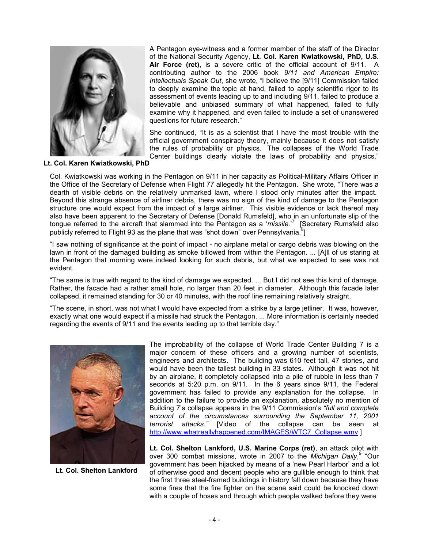

A Pentagon eye-witness and a former member of the staff of the Director of the National Security Agency, **Lt. Col. Karen Kwiatkowski, PhD, U.S. Air Force (ret)**, is a severe critic of the official account of 9/11. A contributing author to the 2006 book *9/11 and American Empire: Intellectuals Speak Out*, she wrote, "I believe the [9/11] Commission failed to deeply examine the topic at hand, failed to apply scientific rigor to its assessment of events leading up to and including 9/11, failed to produce a believable and unbiased summary of what happened, failed to fully examine why it happened, and even failed to include a set of unanswered questions for future research."

She continued, "It is as a scientist that I have the most trouble with the official government conspiracy theory, mainly because it does not satisfy the rules of probability or physics. The collapses of the World Trade Center buildings clearly violate the laws of probability and physics."

**Lt. Col. Karen Kwiatkowski, PhD**

Col. Kwiatkowski was working in the Pentagon on 9/11 in her capacity as Political-Military Affairs Officer in the Office of the Secretary of Defense when Flight 77 allegedly hit the Pentagon. She wrote, "There was a dearth of visible debris on the relatively unmarked lawn, where I stood only minutes after the impact. Beyond this strange absence of airliner debris, there was no sign of the kind of damage to the Pentagon structure one would expect from the impact of a large airliner. This visible evidence or lack thereof may also have been apparent to the Secretary of Defense [Donald Rumsfeld], who in an unfortunate slip of the tongue referred to the aircraft that slammed into the Pentagon as a '*missile*.<sup>,7</sup> [Secretary Rumsfeld also publicly referred to Flight 93 as the plane that was "shot down" over Pennsylvania.<sup>8</sup>]

"I saw nothing of significance at the point of impact - no airplane metal or cargo debris was blowing on the lawn in front of the damaged building as smoke billowed from within the Pentagon. ... [A]ll of us staring at the Pentagon that morning were indeed looking for such debris, but what we expected to see was not evident.

"The same is true with regard to the kind of damage we expected. ... But I did not see this kind of damage. Rather, the facade had a rather small hole, no larger than 20 feet in diameter. Although this facade later collapsed, it remained standing for 30 or 40 minutes, with the roof line remaining relatively straight.

"The scene, in short, was not what I would have expected from a strike by a large jetliner. It was, however, exactly what one would expect if a missile had struck the Pentagon. ... More information is certainly needed regarding the events of 9/11 and the events leading up to that terrible day."



**Lt. Col. Shelton Lankford**

The improbability of the collapse of World Trade Center Building 7 is a major concern of these officers and a growing number of scientists, engineers and architects. The building was 610 feet tall, 47 stories, and would have been the tallest building in 33 states. Although it was not hit by an airplane, it completely collapsed into a pile of rubble in less than 7 seconds at 5:20 p.m. on 9/11. In the 6 years since 9/11, the Federal government has failed to provide any explanation for the collapse. In addition to the failure to provide an explanation, absolutely no mention of Building 7's collapse appears in the 9/11 Commission's *"full and complete account of the circumstances surrounding the September 11, 2001 terrorist attacks."* [Video of the collapse can be seen at http://www.whatreallyhappened.com/IMAGES/WTC7\_Collapse.wmv ]

**Lt. Col. Shelton Lankford, U.S. Marine Corps (ret)**, an attack pilot with over 300 combat missions, wrote in 2007 to the *Michigan Daily*, <sup>9</sup> "Our government has been hijacked by means of a 'new Pearl Harbor' and a lot of otherwise good and decent people who are gullible enough to think that the first three steel-framed buildings in history fall down because they have some fires that the fire fighter on the scene said could be knocked down with a couple of hoses and through which people walked before they were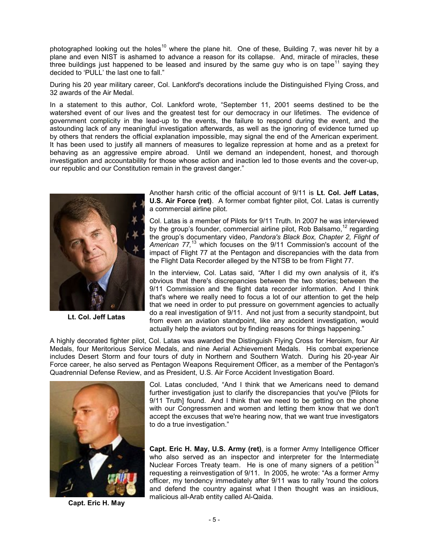photographed looking out the holes<sup>10</sup> where the plane hit. One of these, Building 7, was never hit by a plane and even NIST is ashamed to advance a reason for its collapse. And, miracle of miracles, these three buildings just happened to be leased and insured by the same guy who is on tape<sup>11</sup> saying they decided to 'PULL' the last one to fall."

During his 20 year military career, Col. Lankford's decorations include the Distinguished Flying Cross, and 32 awards of the Air Medal.

In a statement to this author, Col. Lankford wrote, "September 11, 2001 seems destined to be the watershed event of our lives and the greatest test for our democracy in our lifetimes. The evidence of government complicity in the lead-up to the events, the failure to respond during the event, and the astounding lack of any meaningful investigation afterwards, as well as the ignoring of evidence turned up by others that renders the official explanation impossible, may signal the end of the American experiment. It has been used to justify all manners of measures to legalize repression at home and as a pretext for behaving as an aggressive empire abroad. Until we demand an independent, honest, and thorough investigation and accountability for those whose action and inaction led to those events and the cover-up, our republic and our Constitution remain in the gravest danger."



**Lt. Col. Jeff Latas**

Another harsh critic of the official account of 9/11 is **Lt. Col. Jeff Latas, U.S. Air Force (ret)**.A former combat fighter pilot, Col. Latas is currently a commercial airline pilot.

Col. Latas is a member of Pilots for 9/11 Truth. In 2007 he was interviewed by the group's founder, commercial airline pilot, Rob Balsamo,  $12$  regarding the group's documentary video, *Pandora's Black Box, Chapter 2, Flight of American 77,*<sup>13</sup> which focuses on the 9/11 Commission's account of the impact of Flight 77 at the Pentagon and discrepancies with the data from the Flight Data Recorder alleged by the NTSB to be from Flight 77.

In the interview, Col. Latas said, *"*After I did my own analysis of it, it's obvious that there's discrepancies between the two stories; between the 9/11 Commission and the flight data recorder information. And I think that's where we really need to focus a lot of our attention to get the help that we need in order to put pressure on government agencies to actually do a real investigation of 9/11. And not just from a security standpoint, but from even an aviation standpoint, like any accident investigation, would actually help the aviators out by finding reasons for things happening."

A highly decorated fighter pilot, Col. Latas was awarded the Distinguish Flying Cross for Heroism, four Air Medals, four Meritorious Service Medals, and nine Aerial Achievement Medals. His combat experience includes Desert Storm and four tours of duty in Northern and Southern Watch. During his 20-year Air Force career, he also served as Pentagon Weapons Requirement Officer, as a member of the Pentagon's Quadrennial Defense Review, and as President, U.S. Air Force Accident Investigation Board.



**Capt. Eric H. May**

Col. Latas concluded, "And I think that we Americans need to demand further investigation just to clarify the discrepancies that you've [Pilots for 9/11 Truth] found. And I think that we need to be getting on the phone with our Congressmen and women and letting them know that we don't accept the excuses that we're hearing now, that we want true investigators to do a true investigation."

**Capt. Eric H. May, U.S. Army (ret)**, is a former Army Intelligence Officer who also served as an inspector and interpreter for the Intermediate Nuclear Forces Treaty team. He is one of many signers of a petition<sup>14</sup> requesting a reinvestigation of 9/11. In 2005, he wrote: "As a former Army officer, my tendency immediately after 9/11 was to rally 'round the colors and defend the country against what I then thought was an insidious, malicious all-Arab entity called Al-Qaida.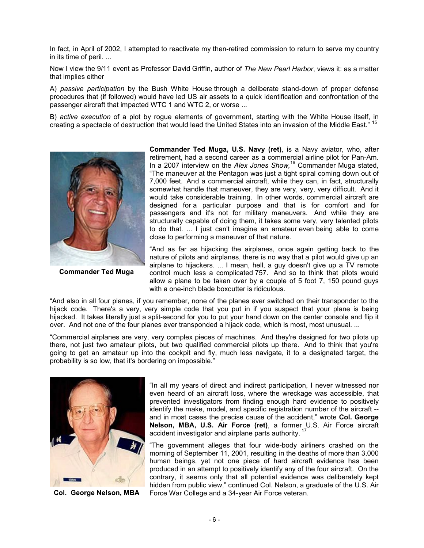In fact, in April of 2002, I attempted to reactivate my then-retired commission to return to serve my country in its time of peril. ...

Now I view the 9/11 event as Professor David Griffin, author of *The New Pearl Harbor*, views it: as a matter that implies either

A) *passive participation* by the Bush White House through a deliberate stand-down of proper defense procedures that (if followed) would have led US air assets to a quick identification and confrontation of the passenger aircraft that impacted WTC 1 and WTC 2, or worse ...

B) *active execution* of a plot by rogue elements of government, starting with the White House itself, in creating a spectacle of destruction that would lead the United States into an invasion of the Middle East." <sup>15</sup>



**Commander Ted Muga**

**Commander Ted Muga, U.S. Navy (ret)**, is a Navy aviator, who, after retirement, had a second career as a commercial airline pilot for Pan-Am. In a 2007 interview on the *Alex Jones Show,*16 Commander Muga stated, "The maneuver at the Pentagon was just a tight spiral coming down out of 7,000 feet. And a commercial aircraft, while they can, in fact, structurally somewhat handle that maneuver, they are very, very, very difficult. And it would take considerable training. In other words, commercial aircraft are designed for a particular purpose and that is for comfort and for passengers and it's not for military maneuvers. And while they are structurally capable of doing them, it takes some very, very talented pilots to do that. ... I just can't imagine an amateur even being able to come close to performing a maneuver of that nature.

"And as far as hijacking the airplanes, once again getting back to the nature of pilots and airplanes, there is no way that a pilot would give up an airplane to hijackers. ... I mean, hell, a guy doesn't give up a TV remote control much less a complicated 757. And so to think that pilots would allow a plane to be taken over by a couple of 5 foot 7, 150 pound guys with a one-inch blade boxcutter is ridiculous.

"And also in all four planes, if you remember, none of the planes ever switched on their transponder to the hijack code. There's a very, very simple code that you put in if you suspect that your plane is being hijacked. It takes literally just a split-second for you to put your hand down on the center console and flip it over. And not one of the four planes ever transponded a hijack code, which is most, most unusual. ...

"Commercial airplanes are very, very complex pieces of machines. And they're designed for two pilots up there, not just two amateur pilots, but two qualified commercial pilots up there. And to think that you're going to get an amateur up into the cockpit and fly, much less navigate, it to a designated target, the probability is so low, that it's bordering on impossible."



"In all my years of direct and indirect participation, I never witnessed nor even heard of an aircraft loss, where the wreckage was accessible, that prevented investigators from finding enough hard evidence to positively identify the make, model, and specific registration number of the aircraft - and in most cases the precise cause of the accident," wrote **Col. George Nelson, MBA, U.S. Air Force (ret)**, a former U.S. Air Force aircraft accident investigator and airplane parts authority.  $17$ 

"The government alleges that four wide-body airliners crashed on the morning of September 11, 2001, resulting in the deaths of more than 3,000 human beings, yet not one piece of hard aircraft evidence has been produced in an attempt to positively identify any of the four aircraft. On the contrary, it seems only that all potential evidence was deliberately kept hidden from public view," continued Col. Nelson, a graduate of the U.S. Air **Col. George Nelson, MBA** Force War College and a 34-year Air Force veteran.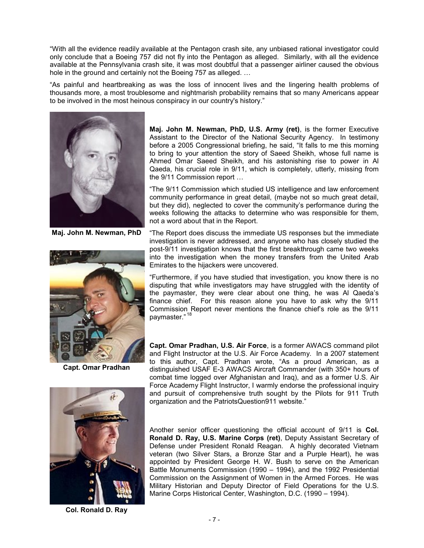"With all the evidence readily available at the Pentagon crash site, any unbiased rational investigator could only conclude that a Boeing 757 did not fly into the Pentagon as alleged. Similarly, with all the evidence available at the Pennsylvania crash site, it was most doubtful that a passenger airliner caused the obvious hole in the ground and certainly not the Boeing 757 as alleged. …

"As painful and heartbreaking as was the loss of innocent lives and the lingering health problems of thousands more, a most troublesome and nightmarish probability remains that so many Americans appear to be involved in the most heinous conspiracy in our country's history."



**Maj. John M. Newman, PhD**



**Capt. Omar Pradhan**



**Col. Ronald D. Ray**

**Maj. John M. Newman, PhD, U.S. Army (ret)**, is the former Executive Assistant to the Director of the National Security Agency. In testimony before a 2005 Congressional briefing, he said, "It falls to me this morning to bring to your attention the story of Saeed Sheikh, whose full name is Ahmed Omar Saeed Sheikh, and his astonishing rise to power in Al Qaeda, his crucial role in 9/11, which is completely, utterly, missing from the 9/11 Commission report …

"The 9/11 Commission which studied US intelligence and law enforcement community performance in great detail, (maybe not so much great detail, but they did), neglected to cover the community's performance during the weeks following the attacks to determine who was responsible for them, not a word about that in the Report.

"The Report does discuss the immediate US responses but the immediate investigation is never addressed, and anyone who has closely studied the post-9/11 investigation knows that the first breakthrough came two weeks into the investigation when the money transfers from the United Arab Emirates to the hijackers were uncovered.

"Furthermore, if you have studied that investigation, you know there is no disputing that while investigators may have struggled with the identity of the paymaster, they were clear about one thing, he was Al Qaeda's finance chief. For this reason alone you have to ask why the 9/11 Commission Report never mentions the finance chief's role as the 9/11 paymaster."<sup>18</sup>

**Capt. Omar Pradhan, U.S. Air Force**, is a former AWACS command pilot and Flight Instructor at the U.S. Air Force Academy. In a 2007 statement to this author, Capt. Pradhan wrote, "As a proud American, as a distinguished USAF E-3 AWACS Aircraft Commander (with 350+ hours of combat time logged over Afghanistan and Iraq), and as a former U.S. Air Force Academy Flight Instructor, I warmly endorse the professional inquiry and pursuit of comprehensive truth sought by the Pilots for 911 Truth organization and the PatriotsQuestion911 website."

Another senior officer questioning the official account of 9/11 is **Col. Ronald D. Ray, U.S. Marine Corps (ret)**, Deputy Assistant Secretary of Defense under President Ronald Reagan. A highly decorated Vietnam veteran (two Silver Stars, a Bronze Star and a Purple Heart), he was appointed by President George H. W. Bush to serve on the American Battle Monuments Commission (1990 – 1994), and the 1992 Presidential Commission on the Assignment of Women in the Armed Forces. He was Military Historian and Deputy Director of Field Operations for the U.S. Marine Corps Historical Center, Washington, D.C. (1990 – 1994).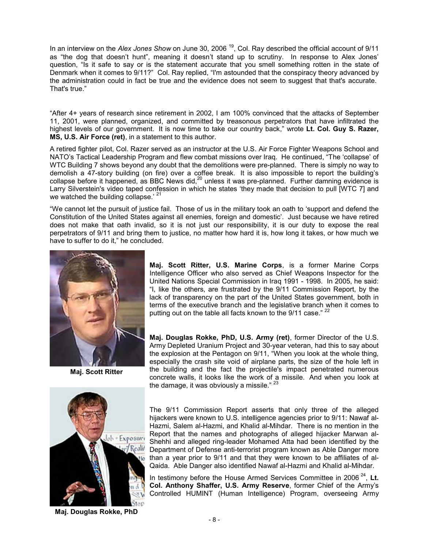In an interview on the *Alex Jones Show* on June 30, 2006<sup>19</sup>, Col. Ray described the official account of 9/11 as "the dog that doesn't hunt", meaning it doesn't stand up to scrutiny. In response to Alex Jones' question, "Is it safe to say or is the statement accurate that you smell something rotten in the state of Denmark when it comes to 9/11?" Col. Ray replied, "I'm astounded that the conspiracy theory advanced by the administration could in fact be true and the evidence does not seem to suggest that that's accurate. That's true."

"After 4+ years of research since retirement in 2002, I am 100% convinced that the attacks of September 11, 2001, were planned, organized, and committed by treasonous perpetrators that have infiltrated the highest levels of our government. It is now time to take our country back," wrote **Lt. Col. Guy S. Razer, MS, U.S. Air Force (ret)**, in a statement to this author.

A retired fighter pilot, Col. Razer served as an instructor at the U.S. Air Force Fighter Weapons School and NATO's Tactical Leadership Program and flew combat missions over Iraq. He continued, "The 'collapse' of WTC Building 7 shows beyond any doubt that the demolitions were pre-planned. There is simply no way to demolish a 47-story building (on fire) over a coffee break. It is also impossible to report the building's collapse before it happened, as BBC News did,<sup>20</sup> unless it was pre-planned. Further damning evidence is Larry Silverstein's video taped confession in which he states 'they made that decision to pull [WTC 7] and we watched the building collapse.<sup> $21$ </sup>

"We cannot let the pursuit of justice fail. Those of us in the military took an oath to 'support and defend the Constitution of the United States against all enemies, foreign and domestic'. Just because we have retired does not make that oath invalid, so it is not just our responsibility, it is our duty to expose the real perpetrators of 9/11 and bring them to justice, no matter how hard it is, how long it takes, or how much we have to suffer to do it," he concluded.



**Maj. Scott Ritter**



**Maj. Douglas Rokke, PhD**

**Maj. Scott Ritter, U.S. Marine Corps**, is a former Marine Corps Intelligence Officer who also served as Chief Weapons Inspector for the United Nations Special Commission in Iraq 1991 - 1998. In 2005, he said: "I, like the others, are frustrated by the 9/11 Commission Report, by the lack of transparency on the part of the United States government, both in terms of the executive branch and the legislative branch when it comes to putting out on the table all facts known to the 9/11 case."<sup>2</sup>

**Maj. Douglas Rokke, PhD, U.S. Army (ret)**, former Director of the U.S. Army Depleted Uranium Project and 30-year veteran, had this to say about the explosion at the Pentagon on 9/11, "When you look at the whole thing, especially the crash site void of airplane parts, the size of the hole left in the building and the fact the projectile's impact penetrated numerous concrete walls, it looks like the work of a missile. And when you look at the damage, it was obviously a missile."  $23$ 

The 9/11 Commission Report asserts that only three of the alleged hijackers were known to U.S. intelligence agencies prior to 9/11: Nawaf al-Hazmi, Salem al-Hazmi, and Khalid al-Mihdar. There is no mention in the Report that the names and photographs of alleged hijacker Marwan al-Shehhi and alleged ring-leader Mohamed Atta had been identified by the Department of Defense anti-terrorist program known as Able Danger more than a year prior to 9/11 and that they were known to be affiliates of al-Qaida. Able Danger also identified Nawaf al-Hazmi and Khalid al-Mihdar.

In testimony before the House Armed Services Committee in 2006<sup>24</sup>, Lt. **Col. Anthony Shaffer, U.S. Army Reserve**, former Chief of the Army's Controlled HUMINT (Human Intelligence) Program, overseeing Army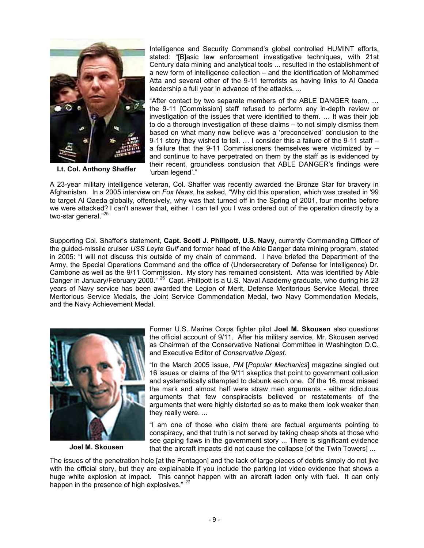

**Lt. Col. Anthony Shaffer**

Intelligence and Security Command's global controlled HUMINT efforts, stated: "[B]asic law enforcement investigative techniques, with 21st Century data mining and analytical tools ... resulted in the establishment of a new form of intelligence collection – and the identification of Mohammed Atta and several other of the 9-11 terrorists as having links to Al Qaeda leadership a full year in advance of the attacks. ...

"After contact by two separate members of the ABLE DANGER team, … the 9-11 [Commission] staff refused to perform any in-depth review or investigation of the issues that were identified to them. … It was their job to do a thorough investigation of these claims – to not simply dismiss them based on what many now believe was a 'preconceived' conclusion to the 9-11 story they wished to tell. … I consider this a failure of the 9-11 staff – a failure that the 9-11 Commissioners themselves were victimized by – and continue to have perpetrated on them by the staff as is evidenced by their recent, groundless conclusion that ABLE DANGER's findings were 'urban legend'."

A 23-year military intelligence veteran, Col. Shaffer was recently awarded the Bronze Star for bravery in Afghanistan. In a 2005 interview on *Fox News*, he asked, "Why did this operation, which was created in '99 to target Al Qaeda globally, offensively, why was that turned off in the Spring of 2001, four months before we were attacked? I can't answer that, either. I can tell you I was ordered out of the operation directly by a two-star general."<sup>25</sup>

Supporting Col. Shaffer's statement, **Capt. Scott J. Phillpott, U.S. Navy**, currently Commanding Officer of the guided-missile cruiser *USS Leyte Gulf* and former head of the Able Danger data mining program, stated in 2005: "I will not discuss this outside of my chain of command. I have briefed the Department of the Army, the Special Operations Command and the office of (Undersecretary of Defense for Intelligence) Dr. Cambone as well as the 9/11 Commission. My story has remained consistent. Atta was identified by Able Danger in January/February 2000." <sup>26</sup> Capt. Phillpott is a U.S. Naval Academy graduate, who during his 23 years of Navy service has been awarded the Legion of Merit, Defense Meritorious Service Medal, three Meritorious Service Medals, the Joint Service Commendation Medal, two Navy Commendation Medals, and the Navy Achievement Medal.



**Joel M. Skousen**

Former U.S. Marine Corps fighter pilot **Joel M. Skousen** also questions the official account of 9/11. After his military service, Mr. Skousen served as Chairman of the Conservative National Committee in Washington D.C. and Executive Editor of *Conservative Digest*.

"In the March 2005 issue, *PM* [*Popular Mechanics*] magazine singled out 16 issues or claims of the 9/11 skeptics that point to government collusion and systematically attempted to debunk each one. Of the 16, most missed the mark and almost half were straw men arguments - either ridiculous arguments that few conspiracists believed or restatements of the arguments that were highly distorted so as to make them look weaker than they really were. ...

"I am one of those who claim there are factual arguments pointing to conspiracy, and that truth is not served by taking cheap shots at those who see gaping flaws in the government story ... There is significant evidence that the aircraft impacts did not cause the collapse [of the Twin Towers] ...

The issues of the penetration hole [at the Pentagon] and the lack of large pieces of debris simply do not jive with the official story, but they are explainable if you include the parking lot video evidence that shows a huge white explosion at impact. This cannot happen with an aircraft laden only with fuel. It can only happen in the presence of high explosives." <sup>27</sup>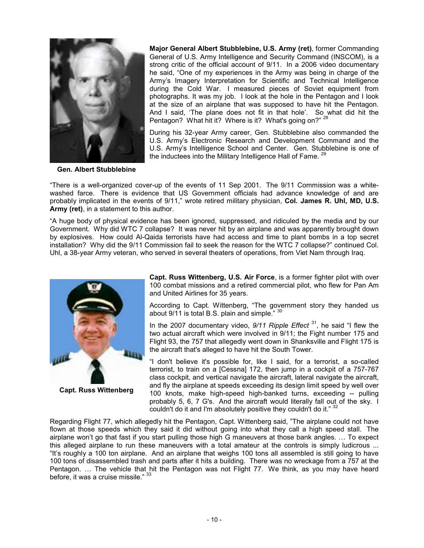

**Major General Albert Stubblebine, U.S. Army (ret)**, former Commanding General of U.S. Army Intelligence and Security Command (INSCOM), is a strong critic of the official account of 9/11. In a 2006 video documentary he said, "One of my experiences in the Army was being in charge of the Army's Imagery Interpretation for Scientific and Technical Intelligence during the Cold War. I measured pieces of Soviet equipment from photographs. It was my job. I look at the hole in the Pentagon and I look at the size of an airplane that was supposed to have hit the Pentagon. And I said, 'The plane does not fit in that hole'. So what did hit the Pentagon? What hit it? Where is it? What's going on?"<sup>28</sup>

During his 32-year Army career, Gen. Stubblebine also commanded the U.S. Army's Electronic Research and Development Command and the U.S. Army's Intelligence School and Center. Gen. Stubblebine is one of the inductees into the Military Intelligence Hall of Fame. <sup>29</sup>

**Gen. Albert Stubblebine**

"There is a well-organized cover-up of the events of 11 Sep 2001. The 9/11 Commission was a whitewashed farce. There is evidence that US Government officials had advance knowledge of and are probably implicated in the events of 9/11," wrote retired military physician, **Col. James R. Uhl, MD, U.S. Army (ret)**, in a statement to this author.

"A huge body of physical evidence has been ignored, suppressed, and ridiculed by the media and by our Government. Why did WTC 7 collapse? It was never hit by an airplane and was apparently brought down by explosives. How could Al-Qaida terrorists have had access and time to plant bombs in a top secret installation? Why did the 9/11 Commission fail to seek the reason for the WTC 7 collapse?" continued Col. Uhl, a 38-year Army veteran, who served in several theaters of operations, from Viet Nam through Iraq.



**Capt. Russ Wittenberg**

**Capt. Russ Wittenberg, U.S. Air Force**, is a former fighter pilot with over 100 combat missions and a retired commercial pilot, who flew for Pan Am and United Airlines for 35 years.

According to Capt. Wittenberg, "The government story they handed us about 9/11 is total B.S. plain and simple." 30

In the 2007 documentary video, 9/11 Ripple Effect<sup>31</sup>, he said "I flew the two actual aircraft which were involved in 9/11; the Fight number 175 and Flight 93, the 757 that allegedly went down in Shanksville and Flight 175 is the aircraft that's alleged to have hit the South Tower.

"I don't believe it's possible for, like I said, for a terrorist, a so-called terrorist, to train on a [Cessna] 172, then jump in a cockpit of a 757-767 class cockpit, and vertical navigate the aircraft, lateral navigate the aircraft, and fly the airplane at speeds exceeding its design limit speed by well over 100 knots, make high-speed high-banked turns, exceeding -- pulling probably 5, 6, 7 G's. And the aircraft would literally fall out of the sky. I couldn't do it and I'm absolutely positive they couldn't do it."  $32$ 

Regarding Flight 77, which allegedly hit the Pentagon, Capt. Wittenberg said, "The airplane could not have flown at those speeds which they said it did without going into what they call a high speed stall. The airplane won't go that fast if you start pulling those high G maneuvers at those bank angles. … To expect this alleged airplane to run these maneuvers with a total amateur at the controls is simply ludicrous ... "It's roughly a 100 ton airplane. And an airplane that weighs 100 tons all assembled is still going to have 100 tons of disassembled trash and parts after it hits a building. There was no wreckage from a 757 at the Pentagon. … The vehicle that hit the Pentagon was not Flight 77. We think, as you may have heard before, it was a cruise missile." 33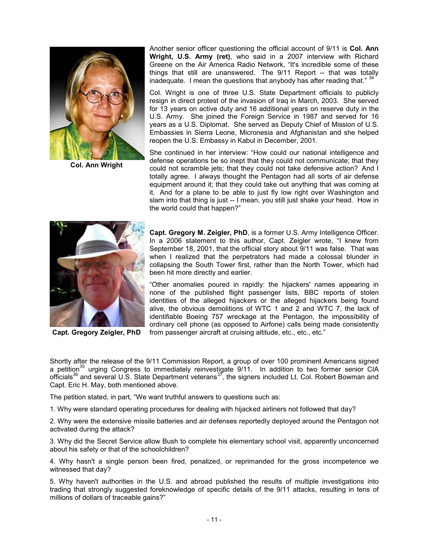

**Col. Ann Wright**

Another senior officer questioning the official account of 9/11 is **Col. Ann Wright, U.S. Army (ret)**, who said in a 2007 interview with Richard Greene on the Air America Radio Network, "It's incredible some of these things that still are unanswered. The 9/11 Report -- that was totally inadequate. I mean the questions that anybody has after reading that."

Col. Wright is one of three U.S. State Department officials to publicly resign in direct protest of the invasion of Iraq in March, 2003. She served for 13 years on active duty and 16 additional years on reserve duty in the U.S. Army. She joined the Foreign Service in 1987 and served for 16 years as a U.S. Diplomat. She served as Deputy Chief of Mission of U.S. Embassies in Sierra Leone, Micronesia and Afghanistan and she helped reopen the U.S. Embassy in Kabul in December, 2001.

She continued in her interview: "How could our national intelligence and defense operations be so inept that they could not communicate; that they could not scramble jets; that they could not take defensive action? And I totally agree. I always thought the Pentagon had all sorts of air defense equipment around it; that they could take out anything that was coming at it. And for a plane to be able to just fly low right over Washington and slam into that thing is just -- I mean, you still just shake your head. How in the world could that happen?"



**Capt. Gregory Zeigler, PhD**

**Capt. Gregory M. Zeigler, PhD**, is a former U.S. Army Intelligence Officer. In a 2006 statement to this author, Capt. Zeigler wrote, "I knew from September 18, 2001, that the official story about 9/11 was false. That was when I realized that the perpetrators had made a colossal blunder in collapsing the South Tower first, rather than the North Tower, which had been hit more directly and earlier.

"Other anomalies poured in rapidly: the hijackers' names appearing in none of the published flight passenger lists, BBC reports of stolen identities of the alleged hijackers or the alleged hijackers being found alive, the obvious demolitions of WTC 1 and 2 and WTC 7, the lack of identifiable Boeing 757 wreckage at the Pentagon, the impossibility of ordinary cell phone (as opposed to Airfone) calls being made consistently from passenger aircraft at cruising altitude, etc., etc., etc."

Shortly after the release of the 9/11 Commission Report, a group of over 100 prominent Americans signed a petition<sup>35</sup> urging Congress to immediately reinvestigate 9/11. In addition to two former senior CIA officials<sup>36</sup> and several U.S. State Department veterans<sup>37</sup>, the signers included Lt. Col. Robert Bowman and Capt. Eric H. May, both mentioned above.

The petition stated, in part, "We want truthful answers to questions such as:

1. Why were standard operating procedures for dealing with hijacked airliners not followed that day?

2. Why were the extensive missile batteries and air defenses reportedly deployed around the Pentagon not activated during the attack?

3. Why did the Secret Service allow Bush to complete his elementary school visit, apparently unconcerned about his safety or that of the schoolchildren?

4. Why hasn't a single person been fired, penalized, or reprimanded for the gross incompetence we witnessed that day?

5. Why haven't authorities in the U.S. and abroad published the results of multiple investigations into trading that strongly suggested foreknowledge of specific details of the 9/11 attacks, resulting in tens of millions of dollars of traceable gains?"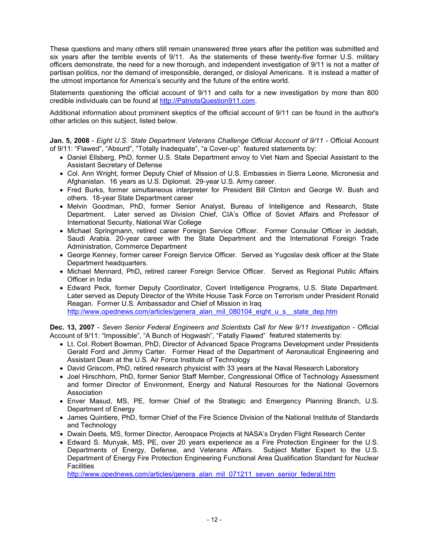These questions and many others still remain unanswered three years after the petition was submitted and six years after the terrible events of 9/11. As the statements of these twenty-five former U.S. military officers demonstrate, the need for a new thorough, and independent investigation of 9/11 is not a matter of partisan politics, nor the demand of irresponsible, deranged, or disloyal Americans. It is instead a matter of the utmost importance for America's security and the future of the entire world.

Statements questioning the official account of 9/11 and calls for a new investigation by more than 800 credible individuals can be found at http://PatriotsQuestion911.com.

Additional information about prominent skeptics of the official account of 9/11 can be found in the author's other articles on this subject, listed below.

**Jan. 5, 2008** - *Eight U.S. State Department Veterans Challenge Official Account of 9/11* - Official Account of 9/11: "Flawed", "Absurd", "Totally Inadequate", "a Cover-up" featured statements by:

- Daniel Ellsberg, PhD, former U.S. State Department envoy to Viet Nam and Special Assistant to the Assistant Secretary of Defense
- Col. Ann Wright, former Deputy Chief of Mission of U.S. Embassies in Sierra Leone, Micronesia and Afghanistan. 16 years as U.S. Diplomat. 29-year U.S. Army career.
- Fred Burks, former simultaneous interpreter for President Bill Clinton and George W. Bush and others. 18-year State Department career
- Melvin Goodman, PhD, former Senior Analyst, Bureau of Intelligence and Research, State Department. Later served as Division Chief, CIA's Office of Soviet Affairs and Professor of International Security, National War College
- Michael Springmann, retired career Foreign Service Officer. Former Consular Officer in Jeddah, Saudi Arabia. 20-year career with the State Department and the International Foreign Trade Administration, Commerce Department
- George Kenney, former career Foreign Service Officer. Served as Yugoslav desk officer at the State Department headquarters.
- Michael Mennard, PhD**,** retired career Foreign Service Officer. Served as Regional Public Affairs Officer in India
- Edward Peck, former Deputy Coordinator, Covert Intelligence Programs, U.S. State Department. Later served as Deputy Director of the White House Task Force on Terrorism under President Ronald Reagan. Former U.S. Ambassador and Chief of Mission in Iraq http://www.opednews.com/articles/genera\_alan\_mil\_080104\_eight\_u\_s\_\_state\_dep.htm

**Dec. 13, 2007** - *Seven Senior Federal Engineers and Scientists Call for New 9/11 Investigation* - Official Account of 9/11: "Impossible", "A Bunch of Hogwash", "Fatally Flawed"featured statements by:

- Lt. Col. Robert Bowman, PhD, Director of Advanced Space Programs Development under Presidents Gerald Ford and Jimmy Carter. Former Head of the Department of Aeronautical Engineering and Assistant Dean at the U.S. Air Force Institute of Technology
- David Griscom, PhD, retired research physicist with 33 years at the Naval Research Laboratory
- Joel Hirschhorn, PhD, former Senior Staff Member, Congressional Office of Technology Assessment and former Director of Environment, Energy and Natural Resources for the National Governors Association
- Enver Masud, MS, PE, former Chief of the Strategic and Emergency Planning Branch, U.S. Department of Energy
- James Quintiere, PhD, former Chief of the Fire Science Division of the National Institute of Standards and Technology
- Dwain Deets, MS, former Director, Aerospace Projects at NASA's Dryden Flight Research Center
- Edward S. Munyak, MS, PE, over 20 years experience as a Fire Protection Engineer for the U.S. Departments of Energy, Defense, and Veterans Affairs. Subject Matter Expert to the U.S. Department of Energy Fire Protection Engineering Functional Area Qualification Standard for Nuclear **Facilities**

http://www.opednews.com/articles/genera\_alan\_mil\_071211\_seven\_senior\_federal.htm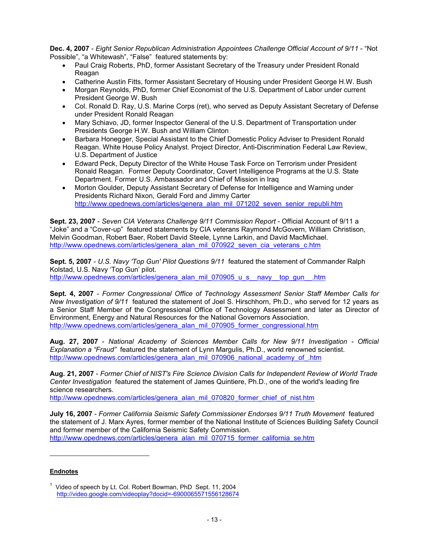**Dec. 4, 2007** - *Eight Senior Republican Administration Appointees Challenge Official Account of 9/11* - "Not Possible", "a Whitewash", "False" featured statements by:

- Paul Craig Roberts, PhD, former Assistant Secretary of the Treasury under President Ronald Reagan
- Catherine Austin Fitts, former Assistant Secretary of Housing under President George H.W. Bush
- Morgan Reynolds, PhD, former Chief Economist of the U.S. Department of Labor under current President George W. Bush
- Col. Ronald D. Ray, U.S. Marine Corps (ret), who served as Deputy Assistant Secretary of Defense under President Ronald Reagan
- Mary Schiavo, JD, former Inspector General of the U.S. Department of Transportation under Presidents George H.W. Bush and William Clinton
- Barbara Honegger, Special Assistant to the Chief Domestic Policy Adviser to President Ronald Reagan. White House Policy Analyst. Project Director, Anti-Discrimination Federal Law Review, U.S. Department of Justice
- Edward Peck, Deputy Director of the White House Task Force on Terrorism under President Ronald Reagan. Former Deputy Coordinator, Covert Intelligence Programs at the U.S. State Department. Former U.S. Ambassador and Chief of Mission in Iraq
- Morton Goulder, Deputy Assistant Secretary of Defense for Intelligence and Warning under Presidents Richard Nixon, Gerald Ford and Jimmy Carter http://www.opednews.com/articles/genera\_alan\_mil\_071202\_seven\_senior\_republi.htm

**Sept. 23, 2007** - *Seven CIA Veterans Challenge 9/11 Commission Report -* Official Account of 9/11 a "Joke" and a "Cover-up" featured statements by CIA veterans Raymond McGovern, William Christison, Melvin Goodman, Robert Baer, Robert David Steele, Lynne Larkin, and David MacMichael. http://www.opednews.com/articles/genera\_alan\_mil\_070922\_seven\_cia\_veterans\_c.htm

**Sept. 5, 2007** - *U.S. Navy 'Top Gun' Pilot Questions 9/11* featured the statement of Commander Ralph Kolstad, U.S. Navy 'Top Gun' pilot. http://www.opednews.com/articles/genera\_alan\_mil\_070905\_u\_s\_\_navy\_\_top\_gun\_\_.htm

**Sept. 4, 2007** - *Former Congressional Office of Technology Assessment Senior Staff Member Calls for New Investigation of 9/11* featured the statement of Joel S. Hirschhorn, Ph.D., who served for 12 years as a Senior Staff Member of the Congressional Office of Technology Assessment and later as Director of Environment, Energy and Natural Resources for the National Governors Association. http://www.opednews.com/articles/genera\_alan\_mil\_070905\_former\_congressional.htm

**Aug. 27, 2007** - *National Academy of Sciences Member Calls for New 9/11 Investigation - Official Explanation a "Fraud"* featured the statement of Lynn Margulis, Ph.D., world renowned scientist. http://www.opednews.com/articles/genera\_alan\_mil\_070906\_national\_academy\_of\_.htm

**Aug. 21, 2007** - *Former Chief of NIST's Fire Science Division Calls for Independent Review of World Trade Center Investigation* featured the statement of James Quintiere, Ph.D., one of the world's leading fire science researchers.

http://www.opednews.com/articles/genera\_alan\_mil\_070820\_former\_chief\_of\_nist.htm

**July 16, 2007** - *Former California Seismic Safety Commissioner Endorses 9/11 Truth Movement* featured the statement of J. Marx Ayres, former member of the National Institute of Sciences Building Safety Council and former member of the California Seismic Safety Commission. http://www.opednews.com/articles/genera\_alan\_mil\_070715\_former\_california\_se.htm

## **Endnotes**

 $\overline{a}$ 

<sup>&</sup>lt;sup>1</sup> Video of speech by Lt. Col. Robert Bowman, PhD Sept. 11, 2004 http://video.google.com/videoplay?docid=-6900065571556128674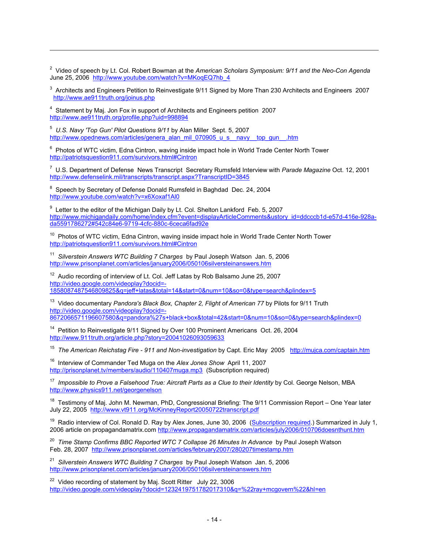2 Video of speech by Lt. Col. Robert Bowman at the *American Scholars Symposium: 9/11 and the Neo-Con Agenda*  June 25, 2006 http://www.youtube.com/watch?v=MKoqEQ7hb\_4

 $3$  Architects and Engineers Petition to Reinvestigate 9/11 Signed by More Than 230 Architects and Engineers 2007 http://www.ae911truth.org/joinus.php

<sup>4</sup> Statement by Maj. Jon Fox in support of Architects and Engineers petition 2007 http://www.ae911truth.org/profile.php?uid=998894

 $\overline{a}$ 

5 *U.S. Navy 'Top Gun' Pilot Questions 9/11* by Alan Miller Sept. 5, 2007 http://www.opednews.com/articles/genera\_alan\_mil\_070905\_u\_s\_\_navy\_\_top\_gun\_\_.htm

 $6$  Photos of WTC victim, Edna Cintron, waving inside impact hole in World Trade Center North Tower http://patriotsquestion911.com/survivors.html#Cintron

7 U.S. Department of Defense News Transcript Secretary Rumsfeld Interview with *Parade Magazine* Oct. 12, 2001 http://www.defenselink.mil/transcripts/transcript.aspx?TranscriptID=3845

 $8$  Speech by Secretary of Defense Donald Rumsfeld in Baghdad Dec. 24, 2004 http://www.youtube.com/watch?v=x6Xoxaf1Al0

 $9$  Letter to the editor of the Michigan Daily by Lt. Col. Shelton Lankford Feb. 5, 2007 http://www.michigandaily.com/home/index.cfm?event=displayArticleComments&ustory\_id=ddcccb1d-e57d-416e-928ada5591786272#542c84e6-9719-4cfc-880c-6ceca6fad92e

<sup>10</sup> Photos of WTC victim, Edna Cintron, waving inside impact hole in World Trade Center North Tower http://patriotsquestion911.com/survivors.html#Cintron

<sup>11</sup> Silverstein Answers WTC Building 7 Charges by Paul Joseph Watson Jan. 5, 2006 http://www.prisonplanet.com/articles/january2006/050106silversteinanswers.htm

 $12$  Audio recording of interview of Lt. Col. Jeff Latas by Rob Balsamo June 25, 2007 http://video.google.com/videoplay?docid=- 1858087487546809825&q=jeff+latas&total=14&start=0&num=10&so=0&type=search&plindex=5

13 Video documentary *Pandora's Black Box, Chapter 2, Flight of American 77* by Pilots for 9/11 Truth http://video.google.com/videoplay?docid=- 8672066571196607580&q=pandora%27s+black+box&total=42&start=0&num=10&so=0&type=search&plindex=0

<sup>14</sup> Petition to Reinvestigate 9/11 Signed by Over 100 Prominent Americans Oct. 26, 2004 http://www.911truth.org/article.php?story=20041026093059633

<sup>15</sup> *The American Reichstag Fire - 911 and Non-investigation* by Capt. Eric May 2005 http://mujca.com/captain.htm

16 Interview of Commander Ted Muga on the *Alex Jones Show* April 11, 2007 http://prisonplanet.tv/members/audio/110407muga.mp3 (Subscription required)

<sup>17</sup> *Impossible to Prove a Falsehood True: Aircraft Parts as a Clue to their Identity* by Col. George Nelson, MBA http://www.physics911.net/georgenelson

<sup>18</sup> Testimony of Maj. John M. Newman, PhD, Congressional Briefing: The 9/11 Commission Report – One Year later July 22, 2005 http://www.vt911.org/McKinneyReport20050722transcript.pdf

<sup>19</sup> Radio interview of Col. Ronald D. Ray by Alex Jones, June 30, 2006 (Subscription required.) Summarized in July 1, 2006 article on propagandamatrix.com http://www.propagandamatrix.com/articles/july2006/010706doesnthunt.htm

20 *Time Stamp Confirms BBC Reported WTC 7 Collapse 26 Minutes In Advance* by Paul Joseph Watson Feb. 28, 2007 http://www.prisonplanet.com/articles/february2007/280207timestamp.htm

21 *Silverstein Answers WTC Building 7 Charges* by Paul Joseph Watson Jan. 5, 2006 http://www.prisonplanet.com/articles/january2006/050106silversteinanswers.htm

<sup>22</sup> Video recording of statement by Maj. Scott Ritter July 22, 3006 http://video.google.com/videoplay?docid=1232419751782017310&q=%22ray+mcgovern%22&hl=en